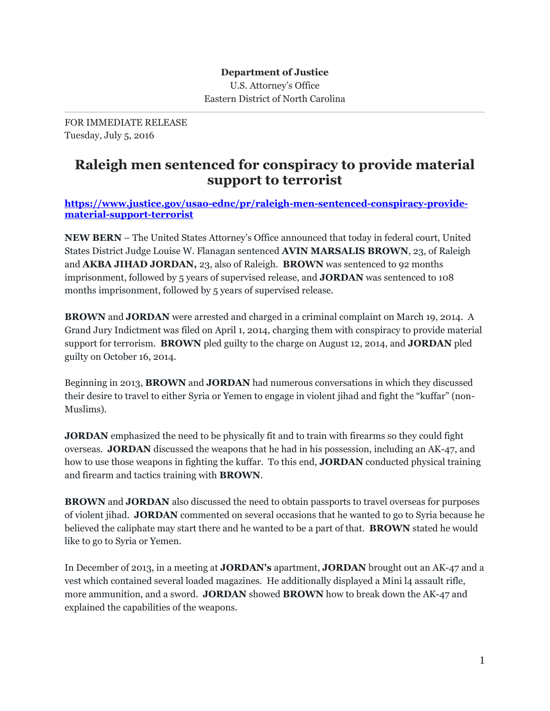FOR IMMEDIATE RELEASE Tuesday, July 5, 2016

## **Raleigh men sentenced for conspiracy to provide material support to terrorist**

**[https://www.justice.gov/usao-ednc/pr/raleigh-men-sentenced-conspiracy-provide](https://www.justice.gov/usao-ednc/pr/raleigh-men-sentenced-conspiracy-provide-material-support-terrorist)[material-support-terrorist](https://www.justice.gov/usao-ednc/pr/raleigh-men-sentenced-conspiracy-provide-material-support-terrorist)**

**NEW BERN** – The United States Attorney's Office announced that today in federal court, United States District Judge Louise W. Flanagan sentenced **AVIN MARSALIS BROWN**, 23, of Raleigh and **AKBA JIHAD JORDAN,** 23, also of Raleigh. **BROWN** was sentenced to 92 months imprisonment, followed by 5 years of supervised release, and **JORDAN** was sentenced to 108 months imprisonment, followed by 5 years of supervised release.

**BROWN** and **JORDAN** were arrested and charged in a criminal complaint on March 19, 2014. A Grand Jury Indictment was filed on April 1, 2014, charging them with conspiracy to provide material support for terrorism. **BROWN** pled guilty to the charge on August 12, 2014, and **JORDAN** pled guilty on October 16, 2014.

Beginning in 2013, **BROWN** and **JORDAN** had numerous conversations in which they discussed their desire to travel to either Syria or Yemen to engage in violent jihad and fight the "kuffar" (non-Muslims).

**JORDAN** emphasized the need to be physically fit and to train with firearms so they could fight overseas. **JORDAN** discussed the weapons that he had in his possession, including an AK-47, and how to use those weapons in fighting the kuffar. To this end, **JORDAN** conducted physical training and firearm and tactics training with **BROWN**.

**BROWN** and **JORDAN** also discussed the need to obtain passports to travel overseas for purposes of violent jihad. **JORDAN** commented on several occasions that he wanted to go to Syria because he believed the caliphate may start there and he wanted to be a part of that. **BROWN** stated he would like to go to Syria or Yemen.

In December of 2013, in a meeting at **JORDAN's** apartment, **JORDAN** brought out an AK-47 and a vest which contained several loaded magazines. He additionally displayed a Mini l4 assault rifle, more ammunition, and a sword. **JORDAN** showed **BROWN** how to break down the AK-47 and explained the capabilities of the weapons.